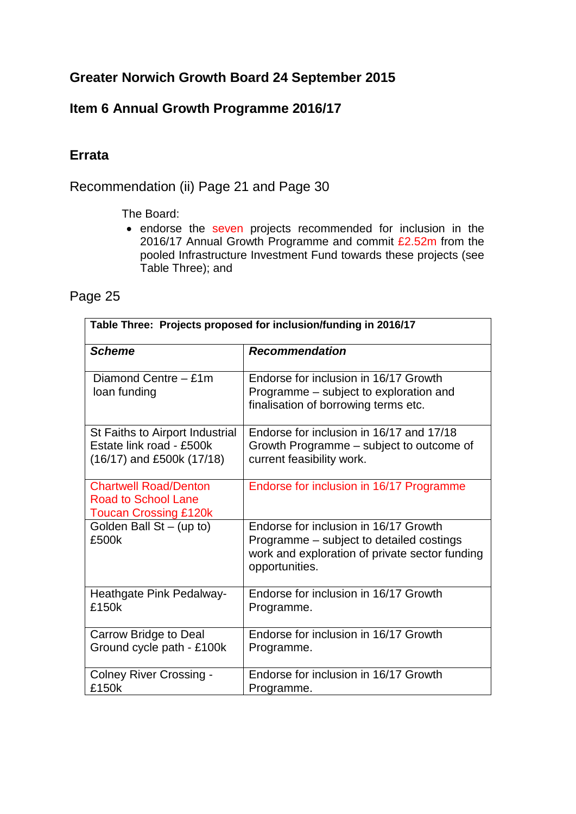# **Greater Norwich Growth Board 24 September 2015**

## **Item 6 Annual Growth Programme 2016/17**

### **Errata**

Recommendation (ii) Page 21 and Page 30

The Board:

• endorse the seven projects recommended for inclusion in the 2016/17 Annual Growth Programme and commit £2.52m from the pooled Infrastructure Investment Fund towards these projects (see Table Three); and

| age |  |
|-----|--|
|-----|--|

| Table Three: Projects proposed for inclusion/funding in 2016/17                            |                                                                                                                                                       |  |  |  |  |  |  |
|--------------------------------------------------------------------------------------------|-------------------------------------------------------------------------------------------------------------------------------------------------------|--|--|--|--|--|--|
| <b>Scheme</b>                                                                              | <b>Recommendation</b>                                                                                                                                 |  |  |  |  |  |  |
| Diamond Centre - £1m<br>loan funding                                                       | Endorse for inclusion in 16/17 Growth<br>Programme – subject to exploration and<br>finalisation of borrowing terms etc.                               |  |  |  |  |  |  |
| St Faiths to Airport Industrial<br>Estate link road - £500k<br>(16/17) and £500k (17/18)   | Endorse for inclusion in 16/17 and 17/18<br>Growth Programme – subject to outcome of<br>current feasibility work.                                     |  |  |  |  |  |  |
| <b>Chartwell Road/Denton</b><br><b>Road to School Lane</b><br><b>Toucan Crossing £120k</b> | Endorse for inclusion in 16/17 Programme                                                                                                              |  |  |  |  |  |  |
| Golden Ball St - (up to)<br>£500k                                                          | Endorse for inclusion in 16/17 Growth<br>Programme – subject to detailed costings<br>work and exploration of private sector funding<br>opportunities. |  |  |  |  |  |  |
| Heathgate Pink Pedalway-<br>£150k                                                          | Endorse for inclusion in 16/17 Growth<br>Programme.                                                                                                   |  |  |  |  |  |  |
| <b>Carrow Bridge to Deal</b><br>Ground cycle path - £100k                                  | Endorse for inclusion in 16/17 Growth<br>Programme.                                                                                                   |  |  |  |  |  |  |
| <b>Colney River Crossing -</b><br>£150k                                                    | Endorse for inclusion in 16/17 Growth<br>Programme.                                                                                                   |  |  |  |  |  |  |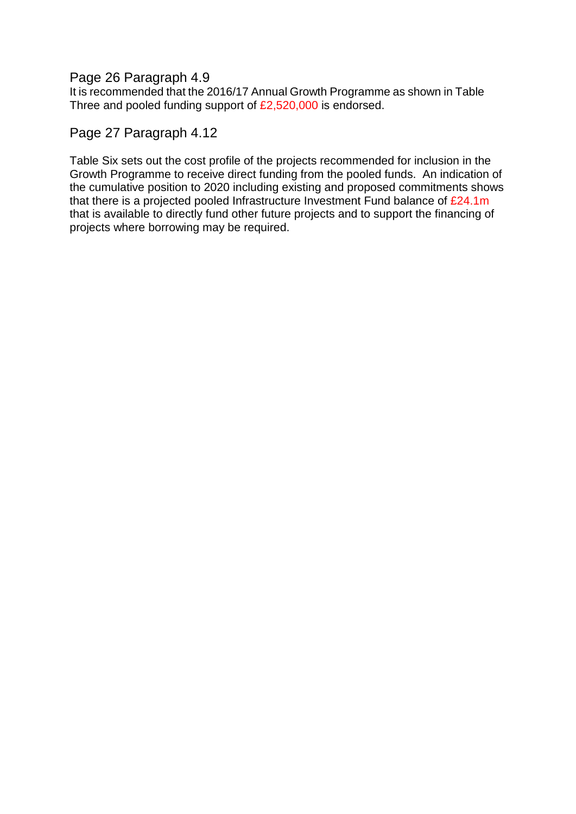### Page 26 Paragraph 4.9

It is recommended that the 2016/17 Annual Growth Programme as shown in Table Three and pooled funding support of £2,520,000 is endorsed.

### Page 27 Paragraph 4.12

Table Six sets out the cost profile of the projects recommended for inclusion in the Growth Programme to receive direct funding from the pooled funds. An indication of the cumulative position to 2020 including existing and proposed commitments shows that there is a projected pooled Infrastructure Investment Fund balance of £24.1m that is available to directly fund other future projects and to support the financing of projects where borrowing may be required.